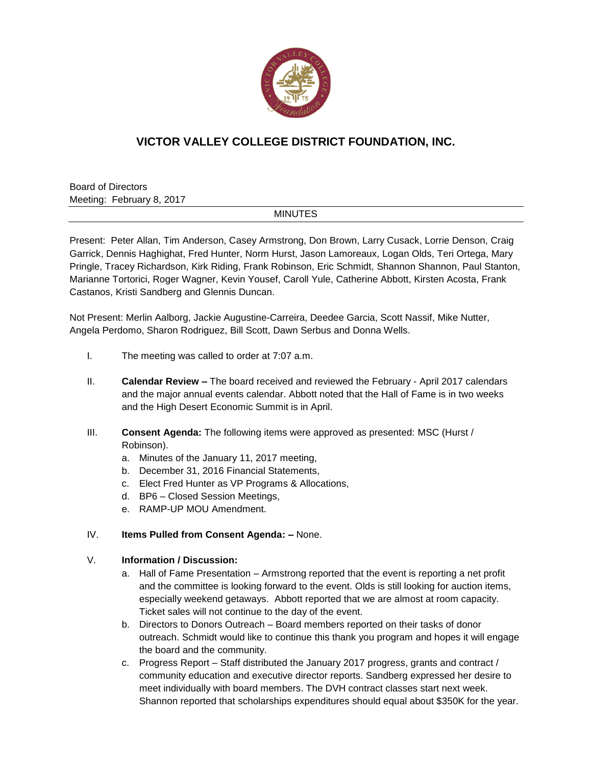

# **VICTOR VALLEY COLLEGE DISTRICT FOUNDATION, INC.**

Board of Directors Meeting: February 8, 2017

### MINUTES

Present: Peter Allan, Tim Anderson, Casey Armstrong, Don Brown, Larry Cusack, Lorrie Denson, Craig Garrick, Dennis Haghighat, Fred Hunter, Norm Hurst, Jason Lamoreaux, Logan Olds, Teri Ortega, Mary Pringle, Tracey Richardson, Kirk Riding, Frank Robinson, Eric Schmidt, Shannon Shannon, Paul Stanton, Marianne Tortorici, Roger Wagner, Kevin Yousef, Caroll Yule, Catherine Abbott, Kirsten Acosta, Frank Castanos, Kristi Sandberg and Glennis Duncan.

Not Present: Merlin Aalborg, Jackie Augustine-Carreira, Deedee Garcia, Scott Nassif, Mike Nutter, Angela Perdomo, Sharon Rodriguez, Bill Scott, Dawn Serbus and Donna Wells.

- I. The meeting was called to order at 7:07 a.m.
- II. **Calendar Review –** The board received and reviewed the February April 2017 calendars and the major annual events calendar. Abbott noted that the Hall of Fame is in two weeks and the High Desert Economic Summit is in April.
- III. **Consent Agenda:** The following items were approved as presented: MSC (Hurst / Robinson).
	- a. Minutes of the January 11, 2017 meeting,
	- b. December 31, 2016 Financial Statements,
	- c. Elect Fred Hunter as VP Programs & Allocations,
	- d. BP6 Closed Session Meetings,
	- e. RAMP-UP MOU Amendment.

### IV. **Items Pulled from Consent Agenda: –** None.

### V. **Information / Discussion:**

- a. Hall of Fame Presentation Armstrong reported that the event is reporting a net profit and the committee is looking forward to the event. Olds is still looking for auction items, especially weekend getaways. Abbott reported that we are almost at room capacity. Ticket sales will not continue to the day of the event.
- b. Directors to Donors Outreach Board members reported on their tasks of donor outreach. Schmidt would like to continue this thank you program and hopes it will engage the board and the community.
- c. Progress Report Staff distributed the January 2017 progress, grants and contract / community education and executive director reports. Sandberg expressed her desire to meet individually with board members. The DVH contract classes start next week. Shannon reported that scholarships expenditures should equal about \$350K for the year.